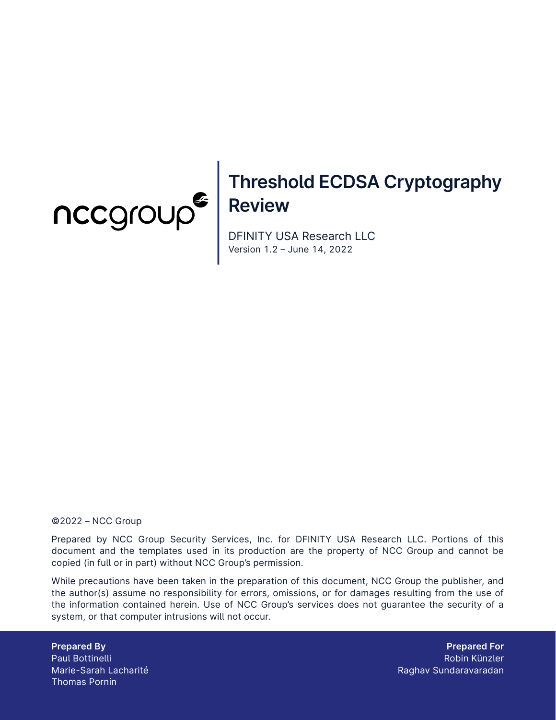

# **Threshold ECDSA Cryptography Review**

DFINITY USA Research LLC Version 1.2 – June 14, 2022

#### ©2022 – NCC Group

Prepared by NCC Group Security Services, Inc. for DFINITY USA Research LLC. Portions of this document and the templates used in its production are the property of NCC Group and cannot be copied (in full or in part) without NCC Group's permission.

While precautions have been taken in the preparation of this document, NCC Group the publisher, and the author(s) assume no responsibility for errors, omissions, or for damages resulting from the use of the information contained herein. Use of NCC Group's services does not guarantee the security of a system, or that computer intrusions will not occur.

**Prepared By** Paul Bottinelli Marie-Sarah Lacharité Thomas Pornin

**Prepared For** Robin Künzler Raghav Sundaravaradan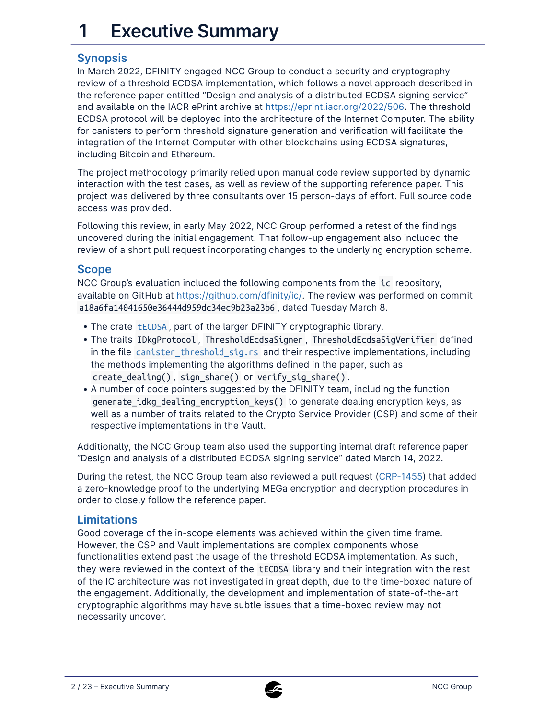# **1 Executive Summary**

# **Synopsis**

In March 2022, DFINITY engaged NCC Group to conduct a security and cryptography review of a threshold ECDSA implementation, which follows a novel approach described in the reference paper entitled "Design and analysis of a distributed ECDSA signing service" and available on the IACR ePrint archive at [https://eprint.iacr.org/2022/506.](https://eprint.iacr.org/2022/506) The threshold ECDSA protocol will be deployed into the architecture of the Internet Computer. The ability for canisters to perform threshold signature generation and verification will facilitate the integration of the Internet Computer with other blockchains using ECDSA signatures, including Bitcoin and Ethereum.

The project methodology primarily relied upon manual code review supported by dynamic interaction with the test cases, as well as review of the supporting reference paper. This project was delivered by three consultants over 15 person-days of effort. Full source code access was provided.

Following this review, in early May 2022, NCC Group performed a retest of the findings uncovered during the initial engagement. That follow-up engagement also included the review of a short pull request incorporating changes to the underlying encryption scheme.

# **Scope**

NCC Group's evaluation included the following components from the ic repository, available on GitHub at [https://github.com/dfinity/ic/.](https://github.com/dfinity/ic/) The review was performed on commit a18a6fa14041650e36444d959dc34ec9b23a23b6 , dated Tuesday March 8.

- The crate [tECDSA](https://github.com/dfinity/ic/tree/master/rs/crypto/internal/crypto_lib/threshold_sig/tecdsa), part of the larger DFINITY cryptographic library.
- The traits IDkgProtocol , ThresholdEcdsaSigner , ThresholdEcdsaSigVerifier defined in the file [canister\\_threshold\\_sig.rs](https://github.com/dfinity/ic/blob/master/rs/interfaces/src/crypto/sign/canister_threshold_sig.rs) and their respective implementations, including the methods implementing the algorithms defined in the paper, such as create\_dealing() , sign\_share() or verify\_sig\_share() .
- A number of code pointers suggested by the DFINITY team, including the function generate\_idkg\_dealing\_encryption\_keys() to generate dealing encryption keys, as well as a number of traits related to the Crypto Service Provider (CSP) and some of their respective implementations in the Vault.

Additionally, the NCC Group team also used the supporting internal draft reference paper "Design and analysis of a distributed ECDSA signing service" dated March 14, 2022.

During the retest, the NCC Group team also reviewed a pull request [\(CRP-1455\)](https://github.com/dfinity/ic/commit/d8605feca47e53e6ca1acd315d378a9db6888eed) that added a zero-knowledge proof to the underlying MEGa encryption and decryption procedures in order to closely follow the reference paper.

# **Limitations**

Good coverage of the in-scope elements was achieved within the given time frame. However, the CSP and Vault implementations are complex components whose functionalities extend past the usage of the threshold ECDSA implementation. As such, they were reviewed in the context of the tECDSA library and their integration with the rest of the IC architecture was not investigated in great depth, due to the time-boxed nature of the engagement. Additionally, the development and implementation of state-of-the-art cryptographic algorithms may have subtle issues that a time-boxed review may not necessarily uncover.

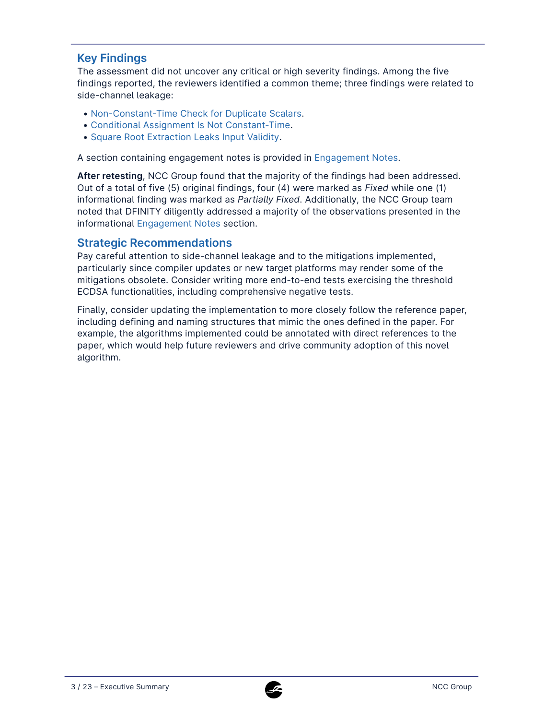# **Key Findings**

The assessment did not uncover any critical or high severity findings. Among the five findings reported, the reviewers identified a common theme; three findings were related to side-channel leakage:

- [Non-Constant-Time Check for Duplicate Scalars](#page-7-0).
- [Conditional Assignment Is Not Constant-Time.](#page-5-0) •
- [Square Root Extraction Leaks Input Validity.](#page-9-0)

A section containing engagement notes is provided in Engagement Notes.

**After retesting**, NCC Group found that the majority of the findings had been addressed. Out of a total of five (5) original findings, four (4) were marked as *Fixed* while one (1) informational finding was marked as *Partially Fixed*. Additionally, the NCC Group team noted that DFINITY diligently addressed a majority of the observations presented in the informational [Engagement Notes](#page-17-0) section.

#### **Strategic Recommendations**

Pay careful attention to side-channel leakage and to the mitigations implemented, particularly since compiler updates or new target platforms may render some of the mitigations obsolete. Consider writing more end-to-end tests exercising the threshold ECDSA functionalities, including comprehensive negative tests.

Finally, consider updating the implementation to more closely follow the reference paper, including defining and naming structures that mimic the ones defined in the paper. For example, the algorithms implemented could be annotated with direct references to the paper, which would help future reviewers and drive community adoption of this novel algorithm.

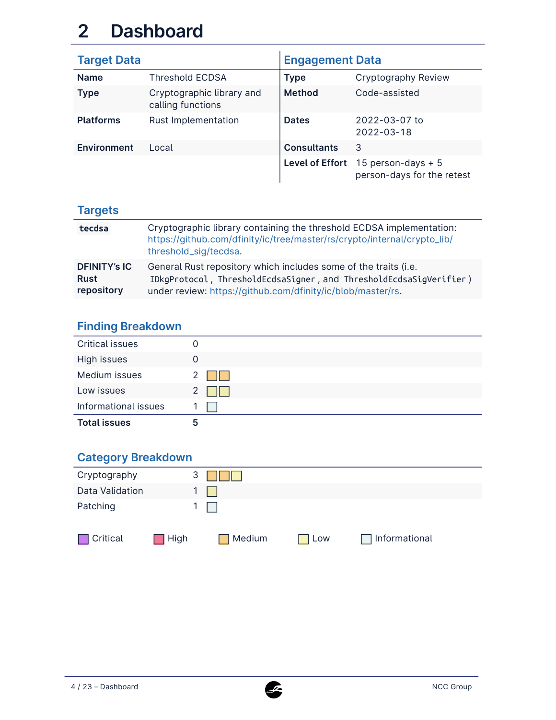# **2 Dashboard**

| <b>Target Data</b> |                                                | <b>Engagement Data</b> |                                                                    |  |
|--------------------|------------------------------------------------|------------------------|--------------------------------------------------------------------|--|
| <b>Name</b>        | <b>Threshold ECDSA</b>                         | <b>Type</b>            | Cryptography Review                                                |  |
| <b>Type</b>        | Cryptographic library and<br>calling functions | <b>Method</b>          | Code-assisted                                                      |  |
| <b>Platforms</b>   | Rust Implementation                            | <b>Dates</b>           | 2022-03-07 to<br>2022-03-18                                        |  |
| <b>Environment</b> | Local                                          | <b>Consultants</b>     | 3                                                                  |  |
|                    |                                                |                        | Level of Effort $15$ person-days + 5<br>person-days for the retest |  |

# **Targets**

| tecdsa                                           | Cryptographic library containing the threshold ECDSA implementation:<br>https://github.com/dfinity/ic/tree/master/rs/crypto/internal/crypto_lib/<br>threshold_sig/tecdsa.                            |
|--------------------------------------------------|------------------------------------------------------------------------------------------------------------------------------------------------------------------------------------------------------|
| <b>DFINITY's IC</b><br><b>Rust</b><br>repository | General Rust repository which includes some of the traits (i.e.<br>IDkgProtocol, ThresholdEcdsaSigner, and ThresholdEcdsaSigVerifier)<br>under review: https://github.com/dfinity/ic/blob/master/rs. |

# **Finding Breakdown**

| <b>Critical issues</b> | O |
|------------------------|---|
| High issues            | 0 |
| Medium issues          |   |
| Low issues             |   |
| Informational issues   |   |
| <b>Total issues</b>    | ა |

# **Category Breakdown**

| Cryptography    | 3    |        |     |               |  |
|-----------------|------|--------|-----|---------------|--|
| Data Validation |      |        |     |               |  |
| Patching        |      |        |     |               |  |
| Critical        | High | Medium | Low | Informational |  |

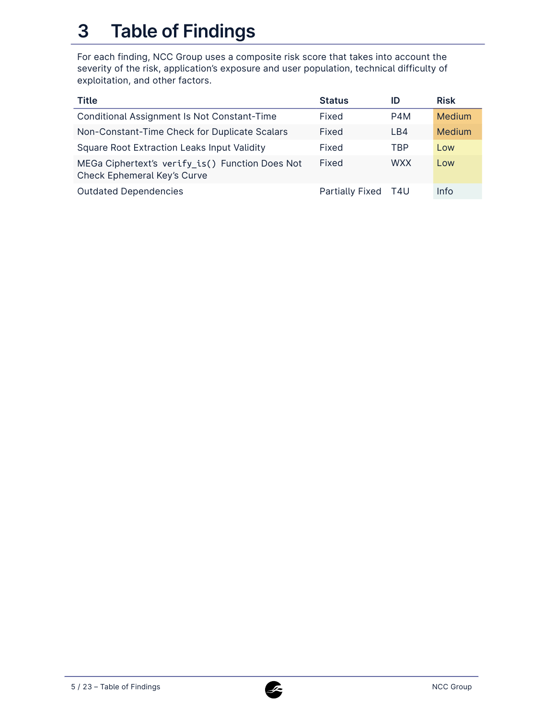# **3 Table of Findings**

For each finding, NCC Group uses a composite risk score that takes into account the severity of the risk, application's exposure and user population, technical difficulty of exploitation, and other factors.

| <b>Title</b>                                                                   | <b>Status</b>          | ID         | <b>Risk</b> |
|--------------------------------------------------------------------------------|------------------------|------------|-------------|
| Conditional Assignment Is Not Constant-Time                                    | Fixed                  | P4M        | Medium      |
| Non-Constant-Time Check for Duplicate Scalars                                  | Fixed                  | LB4        | Medium      |
| <b>Square Root Extraction Leaks Input Validity</b>                             | Fixed                  | <b>TBP</b> | Low         |
| MEGa Ciphertext's verify_is() Function Does Not<br>Check Ephemeral Key's Curve | Fixed                  | <b>WXX</b> | Low         |
| <b>Outdated Dependencies</b>                                                   | <b>Partially Fixed</b> | T4U        | Info        |

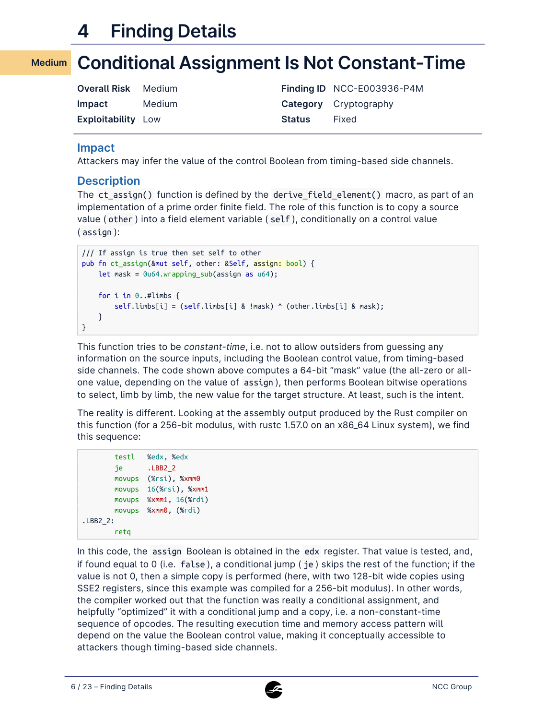# <span id="page-5-0"></span>**4 Finding Details**

#### **Conditional Assignment Is Not Constant-Time Medium**

| <b>Overall Risk</b> Medium |        |               | Finding ID NCC-E003936-P4M   |
|----------------------------|--------|---------------|------------------------------|
| <b>Impact</b>              | Medium |               | <b>Category</b> Cryptography |
| <b>Exploitability Low</b>  |        | <b>Status</b> | Fixed                        |

#### **Impact**

Attackers may infer the value of the control Boolean from timing-based side channels.

#### **Description**

The ct\_assign() function is defined by the derive\_field\_element() macro, as part of an implementation of a prime order finite field. The role of this function is to copy a source value ( other ) into a field element variable ( self ), conditionally on a control value ( assign ):

```
/// If assign is true then set self to other
pub fn ct_assign(&mut self, other: &Self, assign: bool) {
    let mask = 0u64.wrapping_sub(assign as u64);
    for i in 0..#limbs {
        self.limbs[i] = (self.limbs[i] & !mask) ^ (other.limbs[i] & mask);
    }
}
```
This function tries to be *constant-time*, i.e. not to allow outsiders from guessing any information on the source inputs, including the Boolean control value, from timing-based side channels. The code shown above computes a 64-bit "mask" value (the all-zero or allone value, depending on the value of assign ), then performs Boolean bitwise operations to select, limb by limb, the new value for the target structure. At least, such is the intent.

The reality is different. Looking at the assembly output produced by the Rust compiler on this function (for a 256-bit modulus, with rustc 1.57.0 on an x86\_64 Linux system), we find this sequence:

```
testl %edx, %edx
       je .LBB2_2
       movups (%rsi), %xmm0
       movups 16(%rsi), %xmm1
       movups %xmm1, 16(%rdi)
       movups %xmm0, (%rdi)
.LBB2_2:
       retq
```
In this code, the assign Boolean is obtained in the edx register. That value is tested, and, if found equal to 0 (i.e. false ), a conditional jump ( je ) skips the rest of the function; if the value is not 0, then a simple copy is performed (here, with two 128-bit wide copies using SSE2 registers, since this example was compiled for a 256-bit modulus). In other words, the compiler worked out that the function was really a conditional assignment, and helpfully "optimized" it with a conditional jump and a copy, i.e. a non-constant-time sequence of opcodes. The resulting execution time and memory access pattern will depend on the value the Boolean control value, making it conceptually accessible to attackers though timing-based side channels.

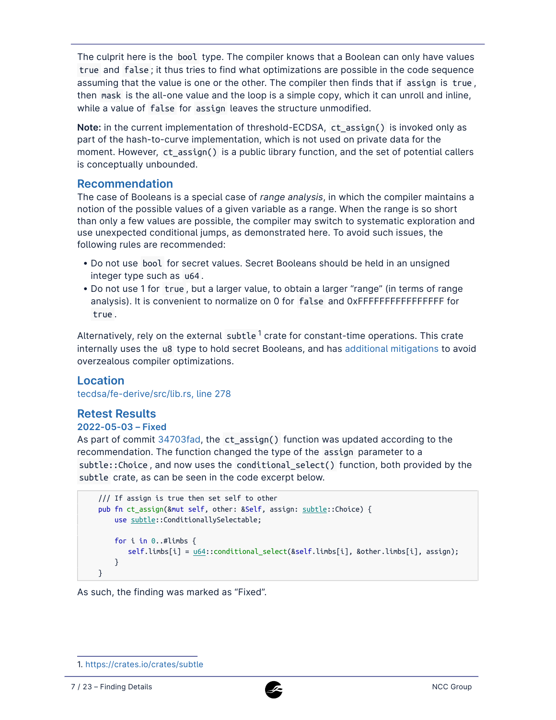The culprit here is the bool type. The compiler knows that a Boolean can only have values true and false ; it thus tries to find what optimizations are possible in the code sequence assuming that the value is one or the other. The compiler then finds that if assign is true , then mask is the all-one value and the loop is a simple copy, which it can unroll and inline, while a value of false for assign leaves the structure unmodified.

**Note:** in the current implementation of threshold-ECDSA, ct\_assign() is invoked only as part of the hash-to-curve implementation, which is not used on private data for the moment. However, ct\_assign() is a public library function, and the set of potential callers is conceptually unbounded.

#### **Recommendation**

The case of Booleans is a special case of *range analysis*, in which the compiler maintains a notion of the possible values of a given variable as a range. When the range is so short than only a few values are possible, the compiler may switch to systematic exploration and use unexpected conditional jumps, as demonstrated here. To avoid such issues, the following rules are recommended:

- Do not use bool for secret values. Secret Booleans should be held in an unsigned integer type such as u64 .
- Do not use 1 for true , but a larger value, to obtain a larger "range" (in terms of range analysis). It is convenient to normalize on 0 for false and 0xFFFFFFFFFFFFFFFF for true .

Alternatively, rely on the external subtle <sup>1</sup> crate for constant-time operations. This crate internally uses the u8 type to hold secret Booleans, and has [additional mitigations](https://github.com/dalek-cryptography/subtle/blob/b4b070c3faf87cb8f324bd0ed0a5e5ec32d3a5b0/src/lib.rs#L217) to avoid overzealous compiler optimizations.

### **Location**

[tecdsa/fe-derive/src/lib.rs, line 278](https://github.com/dfinity/ic/blob/a18a6fa14041650e36444d959dc34ec9b23a23b6/rs/crypto/internal/crypto_lib/threshold_sig/tecdsa/fe-derive/src/lib.rs#L278)

# **Retest Results**

#### **2022-05-03 – Fixed**

As part of commit [34703fad](https://github.com/dfinity/ic/commit/34703fad074f5bb53142b2cf5f569c5c66c6c3b1), the ct\_assign() function was updated according to the recommendation. The function changed the type of the assign parameter to a subtle::Choice , and now uses the conditional\_select() function, both provided by the subtle crate, as can be seen in the code excerpt below.

```
/// If assign is true then set self to other
pub fn ct_assign(&mut self, other: &Self, assign: subtle::Choice) {
   use subtle::ConditionallySelectable;
    for i in 0..#limbs {
       self.limbs[i] = u64::conditional_select(&self.limbs[i], &other.limbs[i], assign);
    }
}
```
As such, the finding was marked as "Fixed".



<sup>1.</sup><https://crates.io/crates/subtle>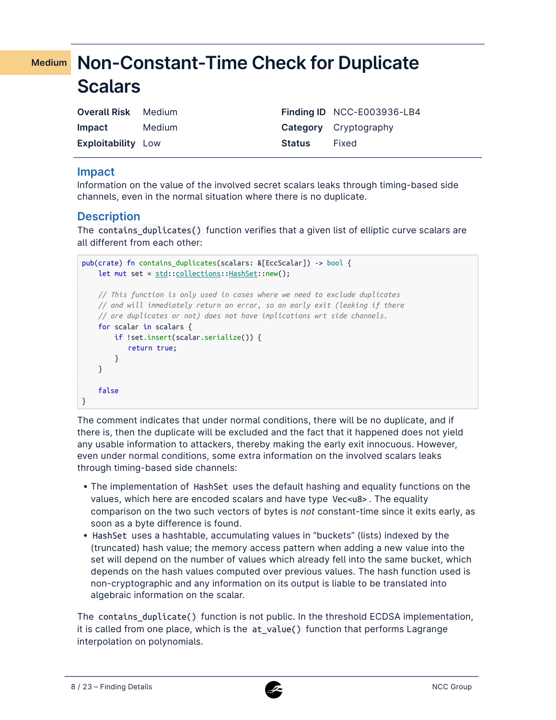# <span id="page-7-0"></span>**Non-Constant-Time Check for Duplicate Medium Scalars**

| <b>Overall Risk</b> Medium |        |               | Finding ID NCC-E003936-LB4   |
|----------------------------|--------|---------------|------------------------------|
| <b>Impact</b>              | Medium |               | <b>Category</b> Cryptography |
| <b>Exploitability Low</b>  |        | <b>Status</b> | Fixed                        |

## **Impact**

Information on the value of the involved secret scalars leaks through timing-based side channels, even in the normal situation where there is no duplicate.

# **Description**

The contains\_duplicates() function verifies that a given list of elliptic curve scalars are all different from each other:

```
pub(crate) fn contains_duplicates(scalars: &[EccScalar]) -> bool {
    let mut set = std::collections::HashSet::new();
    // This function is only used in cases where we need to exclude duplicates
    // and will immediately return an error, so an early exit (leaking if there
    // are duplicates or not) does not have implications wrt side channels.
    for scalar in scalars {
       if !set.insert(scalar.serialize()) {
           return true;
       }
    }
    false
}
```
The comment indicates that under normal conditions, there will be no duplicate, and if there is, then the duplicate will be excluded and the fact that it happened does not yield any usable information to attackers, thereby making the early exit innocuous. However, even under normal conditions, some extra information on the involved scalars leaks through timing-based side channels:

- The implementation of HashSet uses the default hashing and equality functions on the values, which here are encoded scalars and have type Vec<u8> . The equality comparison on the two such vectors of bytes is *not* constant-time since it exits early, as soon as a byte difference is found.
- HashSet uses a hashtable, accumulating values in "buckets" (lists) indexed by the (truncated) hash value; the memory access pattern when adding a new value into the set will depend on the number of values which already fell into the same bucket, which depends on the hash values computed over previous values. The hash function used is non-cryptographic and any information on its output is liable to be translated into algebraic information on the scalar.

The contains\_duplicate() function is not public. In the threshold ECDSA implementation, it is called from one place, which is the at\_value() function that performs Lagrange interpolation on polynomials.

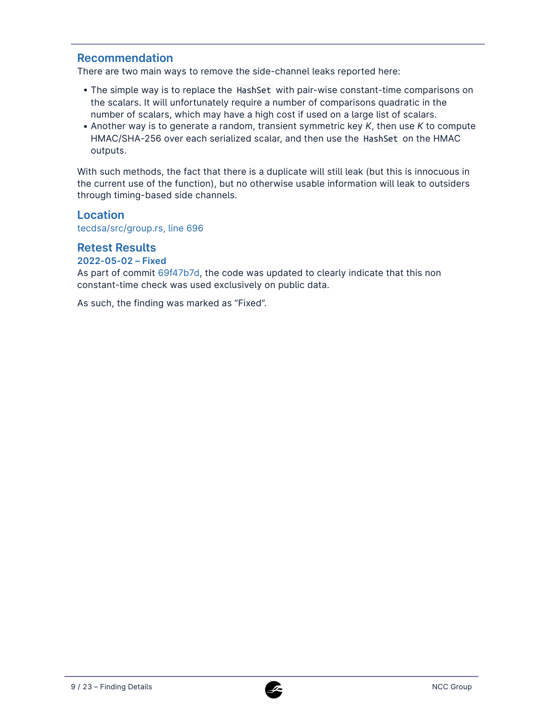### **Recommendation**

There are two main ways to remove the side-channel leaks reported here:

- The simple way is to replace the HashSet with pair-wise constant-time comparisons on the scalars. It will unfortunately require a number of comparisons quadratic in the number of scalars, which may have a high cost if used on a large list of scalars.
- Another way is to generate a random, transient symmetric key *K*, then use *K* to compute HMAC/SHA-256 over each serialized scalar, and then use the HashSet on the HMAC outputs.

With such methods, the fact that there is a duplicate will still leak (but this is innocuous in the current use of the function), but no otherwise usable information will leak to outsiders through timing-based side channels.

### **Location**

[tecdsa/src/group.rs, line 696](https://github.com/dfinity/ic/blob/a18a6fa14041650e36444d959dc34ec9b23a23b6/rs/crypto/internal/crypto_lib/threshold_sig/tecdsa/src/group.rs#L696)

#### **Retest Results**

#### **2022-05-02 – Fixed**

As part of commit [69f47b7d](https://github.com/dfinity/ic/commit/69f47b7d64b4148c0087680a16630979b79fd996), the code was updated to clearly indicate that this non constant-time check was used exclusively on public data.

As such, the finding was marked as "Fixed".

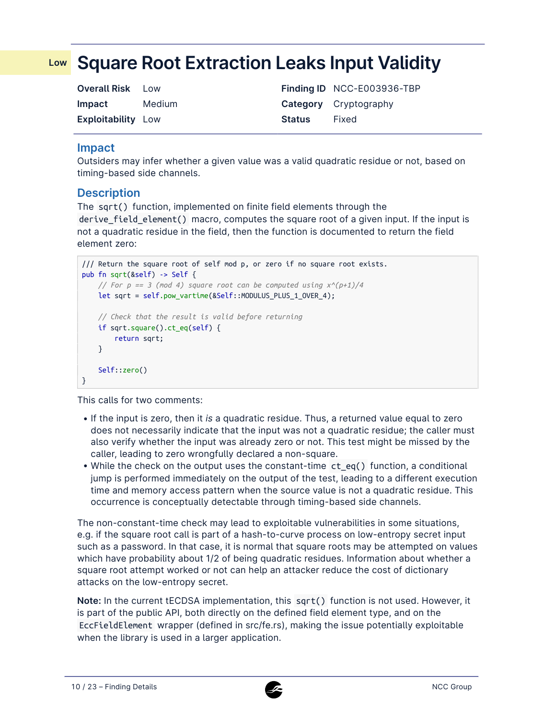# <span id="page-9-0"></span>**Square Root Extraction Leaks Input Validity Low**

| <b>Overall Risk</b>       | <b>LOW</b> |               | Finding ID NCC-E003936-TBP   |
|---------------------------|------------|---------------|------------------------------|
| Impact                    | Medium     |               | <b>Category</b> Cryptography |
| <b>Exploitability Low</b> |            | <b>Status</b> | Fixed                        |

#### **Impact**

Outsiders may infer whether a given value was a valid quadratic residue or not, based on timing-based side channels.

### **Description**

The sqrt() function, implemented on finite field elements through the derive\_field\_element() macro, computes the square root of a given input. If the input is not a quadratic residue in the field, then the function is documented to return the field element zero:

```
/// Return the square root of self mod p, or zero if no square root exists.
pub fn sqrt(&self) -> Self {
   // For p == 3 (mod 4) square root can be computed using x^(p+1)/4
   let sqrt = self.pow_vartime(&Self::MODULUS_PLUS_1_OVER_4);
   // Check that the result is valid before returning
   if sqrt.square().ct_eq(self) {
       return sqrt;
   }
   Self::zero()
}
```
This calls for two comments:

- If the input is zero, then it *is* a quadratic residue. Thus, a returned value equal to zero does not necessarily indicate that the input was not a quadratic residue; the caller must also verify whether the input was already zero or not. This test might be missed by the caller, leading to zero wrongfully declared a non-square.
- While the check on the output uses the constant-time ct\_eq() function, a conditional jump is performed immediately on the output of the test, leading to a different execution time and memory access pattern when the source value is not a quadratic residue. This occurrence is conceptually detectable through timing-based side channels.

The non-constant-time check may lead to exploitable vulnerabilities in some situations, e.g. if the square root call is part of a hash-to-curve process on low-entropy secret input such as a password. In that case, it is normal that square roots may be attempted on values which have probability about 1/2 of being quadratic residues. Information about whether a square root attempt worked or not can help an attacker reduce the cost of dictionary attacks on the low-entropy secret.

**Note:** In the current tECDSA implementation, this sqrt() function is not used. However, it is part of the public API, both directly on the defined field element type, and on the EccFieldElement wrapper (defined in src/fe.rs), making the issue potentially exploitable when the library is used in a larger application.

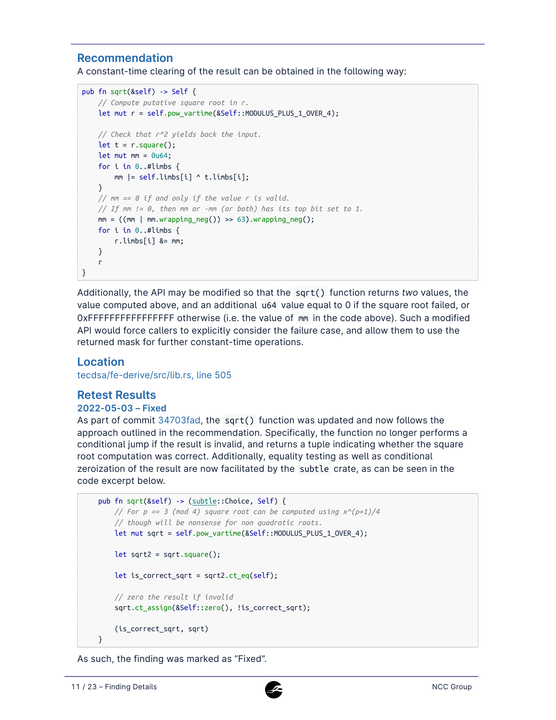# **Recommendation**

A constant-time clearing of the result can be obtained in the following way:

```
pub fn sqrt(&self) -> Self {
   // Compute putative square root in r.
   let mut r = self.pow_vartime(&Self::MODULUS_PLUS_1_OVER_4);
   // Check that r^2 yields back the input.
   let t = r \cdot square();
   let mut mm = 0u64;
    for i in 0..#limbs {
       mm |= self.limbs[i] ^ t.limbs[i];
    }
   // mm == 0 if and only if the value r is valid.
    // If mm != 0, then mm or -mm (or both) has its top bit set to 1.
    mm = ((mm | mm.write) - 63).wrapping_new();for i in 0..#limbs {
       r.limbs[i] &= mm;
    }
    r
}
```
Additionally, the API may be modified so that the sqrt() function returns *two* values, the value computed above, and an additional u64 value equal to 0 if the square root failed, or 0xFFFFFFFFFFFFFFFF otherwise (i.e. the value of mm in the code above). Such a modified API would force callers to explicitly consider the failure case, and allow them to use the returned mask for further constant-time operations.

#### **Location**

[tecdsa/fe-derive/src/lib.rs, line 505](https://github.com/dfinity/ic/blob/a18a6fa14041650e36444d959dc34ec9b23a23b6/rs/crypto/internal/crypto_lib/threshold_sig/tecdsa/fe-derive/src/lib.rs#L505)

### **Retest Results**

#### **2022-05-03 – Fixed**

As part of commit [34703fad](https://github.com/dfinity/ic/commit/34703fad074f5bb53142b2cf5f569c5c66c6c3b1), the sqrt() function was updated and now follows the approach outlined in the recommendation. Specifically, the function no longer performs a conditional jump if the result is invalid, and returns a tuple indicating whether the square root computation was correct. Additionally, equality testing as well as conditional zeroization of the result are now facilitated by the subtle crate, as can be seen in the code excerpt below.

```
pub fn sqrt(&self) -> (subtle::Choice, Self) {
    // For p == 3 (mod 4) square root can be computed using x^(p+1)/4
    // though will be nonsense for non quadratic roots.
   let mut sqrt = self.pow_vartime(&Self::MODULUS_PLUS_1_OVER_4);
   let sqrt2 = sqrt.square();
   let is_correct_sqrt = sqrt2.ct_eq(self);
   // zero the result if invalid
    sqrt.ct_assign(&Self::zero(), !is_correct_sqrt);
    (is_correct_sqrt, sqrt)
}
```
As such, the finding was marked as "Fixed".

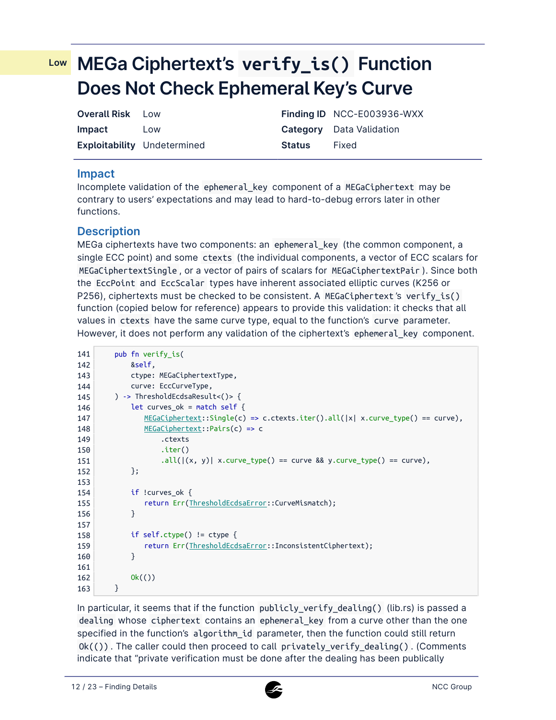# <span id="page-11-0"></span>**MEGa Ciphertext's verify\_is() Function Low Does Not Check Ephemeral Key's Curve**

| <b>Overall Risk</b> Low |                                    |               | Finding ID NCC-E003936-WXX      |
|-------------------------|------------------------------------|---------------|---------------------------------|
| <b>Impact</b>           | Low                                |               | <b>Category</b> Data Validation |
|                         | <b>Exploitability</b> Undetermined | <b>Status</b> | Fixed                           |

### **Impact**

Incomplete validation of the ephemeral\_key component of a MEGaCiphertext may be contrary to users' expectations and may lead to hard-to-debug errors later in other functions.

# **Description**

MEGa ciphertexts have two components: an ephemeral\_key (the common component, a single ECC point) and some ctexts (the individual components, a vector of ECC scalars for MEGaCiphertextSingle , or a vector of pairs of scalars for MEGaCiphertextPair ). Since both the EccPoint and EccScalar types have inherent associated elliptic curves (K256 or P256), ciphertexts must be checked to be consistent. A MEGaCiphertext's verify\_is() function (copied below for reference) appears to provide this validation: it checks that all values in ctexts have the same curve type, equal to the function's curve parameter. However, it does not perform any validation of the ciphertext's ephemeral\_key component.

| 141 | pub fn verify is(                                                                         |
|-----|-------------------------------------------------------------------------------------------|
| 142 | &self,                                                                                    |
| 143 | ctype: MEGaCiphertextType,                                                                |
| 144 | curve: EccCurveType,                                                                      |
| 145 | ) -> ThresholdEcdsaResult<()> {                                                           |
| 146 | let curves_ok = match self {                                                              |
| 147 | $MEGaCiphertext::Single(c) \Rightarrow c.ctexts.iter().all( x  x.curve_type() == curve),$ |
| 148 | $MEGaCiphertext::Pairs(c) \Rightarrow c$                                                  |
| 149 | .ctexts                                                                                   |
| 150 | $\mathsf{iter}()$                                                                         |
| 151 | $.$ all $( (x, y)  x.$ curve_type $() ==$ curve && y.curve_type $() ==$ curve),           |
| 152 | $\}$ ;                                                                                    |
| 153 |                                                                                           |
| 154 | if !curves ok $\{$                                                                        |
| 155 | return Err(ThresholdEcdsaError::CurveMismatch);                                           |
| 156 | }                                                                                         |
| 157 |                                                                                           |
| 158 | if self.ctype() != ctype {                                                                |
| 159 | return Err(ThresholdEcdsaError::InconsistentCiphertext);                                  |
| 160 | <sup>}</sup>                                                                              |
| 161 |                                                                                           |
| 162 | 0k(())                                                                                    |
| 163 | }                                                                                         |

In particular, it seems that if the function publicly\_verify\_dealing() (lib.rs) is passed a dealing whose ciphertext contains an ephemeral key from a curve other than the one specified in the function's algorithm\_id parameter, then the function could still return  $Ok(())$ . The caller could then proceed to call privately\_verify\_dealing(). (Comments indicate that "private verification must be done after the dealing has been publically

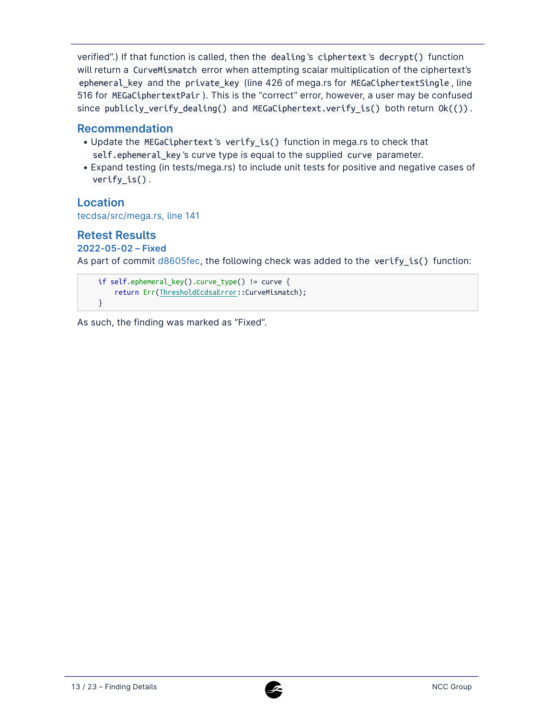verified".) If that function is called, then the dealing 's ciphertext 's decrypt() function will return a CurveMismatch error when attempting scalar multiplication of the ciphertext's ephemeral\_key and the private\_key (line 426 of mega.rs for MEGaCiphertextSingle , line 516 for MEGaCiphertextPair ). This is the "correct" error, however, a user may be confused since publicly\_verify\_dealing() and MEGaCiphertext.verify\_is() both return Ok(()) .

# **Recommendation**

- Update the MEGaCiphertext's verify\_is() function in mega.rs to check that self.ephemeral\_key 's curve type is equal to the supplied curve parameter.
- Expand testing (in tests/mega.rs) to include unit tests for positive and negative cases of verify\_is() .

## **Location**

[tecdsa/src/mega.rs, line 141](https://github.com/dfinity/ic/blob/a18a6fa14041650e36444d959dc34ec9b23a23b6/rs/crypto/internal/crypto_lib/threshold_sig/tecdsa/src/mega.rs#L141)

## **Retest Results**

**2022-05-02 – Fixed** 

As part of commit [d8605fec,](https://github.com/dfinity/ic/commit/d8605feca47e53e6ca1acd315d378a9db6888eed) the following check was added to the verify is() function:

```
if self.ephemeral_key().curve_type() != curve {
    return Err(ThresholdEcdsaError::CurveMismatch);
}
```
As such, the finding was marked as "Fixed".

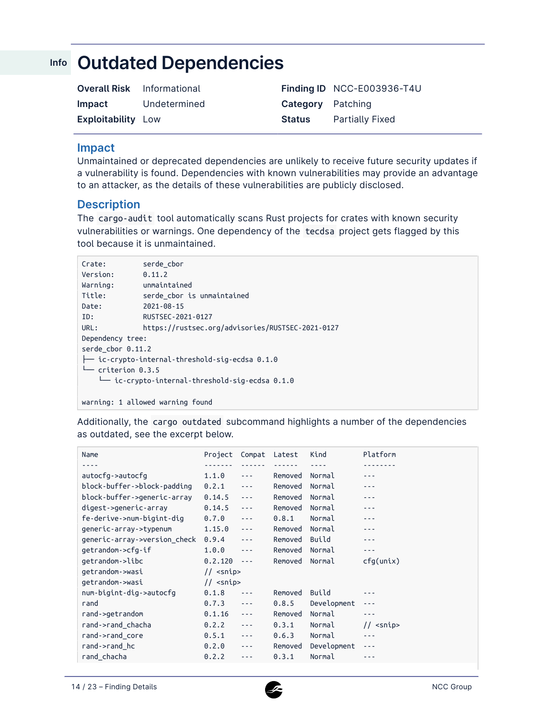# <span id="page-13-0"></span>**Outdated Dependencies Info**

| <b>Overall Risk</b> Informational |              |                          | Finding ID NCC-E003936-T4U |
|-----------------------------------|--------------|--------------------------|----------------------------|
| <b>Impact</b>                     | Undetermined | <b>Category</b> Patching |                            |
| <b>Exploitability Low</b>         |              | Status                   | Partially Fixed            |

#### **Impact**

Unmaintained or deprecated dependencies are unlikely to receive future security updates if a vulnerability is found. Dependencies with known vulnerabilities may provide an advantage to an attacker, as the details of these vulnerabilities are publicly disclosed.

#### **Description**

The cargo-audit tool automatically scans Rust projects for crates with known security vulnerabilities or warnings. One dependency of the tecdsa project gets flagged by this tool because it is unmaintained.

| Crate:              | serde cbor                                                |
|---------------------|-----------------------------------------------------------|
| Version:            | 0.11.2                                                    |
| Warning:            | unmaintained                                              |
| Title:              | serde cbor is unmaintained                                |
| Date:               | 2021-08-15                                                |
| ID:                 | RUSTSEC-2021-0127                                         |
| URL:                | https://rustsec.org/advisories/RUSTSEC-2021-0127          |
| Dependency tree:    |                                                           |
| serde cbor 0.11.2   |                                                           |
|                     | $\leftarrow$ ic-crypto-internal-threshold-sig-ecdsa 0.1.0 |
| $-$ criterion 0.3.5 |                                                           |
|                     | ic-crypto-internal-threshold-sig-ecdsa 0.1.0              |
|                     |                                                           |

```
warning: 1 allowed warning found
```
Additionally, the cargo outdated subcommand highlights a number of the dependencies as outdated, see the excerpt below.

| Name                         | Project          | Compat                                                                                                                                                                                                                                                                                                                                                                                       | Latest  | Kind        | Platform                      |
|------------------------------|------------------|----------------------------------------------------------------------------------------------------------------------------------------------------------------------------------------------------------------------------------------------------------------------------------------------------------------------------------------------------------------------------------------------|---------|-------------|-------------------------------|
|                              |                  |                                                                                                                                                                                                                                                                                                                                                                                              |         |             |                               |
| autocfg->autocfg             | 1.1.0            | $- - -$                                                                                                                                                                                                                                                                                                                                                                                      | Removed | Normal      |                               |
| block-buffer->block-padding  | 0.2.1            | $\sim$ $\sim$ $\sim$                                                                                                                                                                                                                                                                                                                                                                         | Removed | Normal      |                               |
| block-buffer->generic-array  | 0.14.5           | $\sim$ $\sim$ $\sim$                                                                                                                                                                                                                                                                                                                                                                         | Removed | Normal      |                               |
| digest->generic-array        | 0.14.5           | $- - -$                                                                                                                                                                                                                                                                                                                                                                                      | Removed | Normal      |                               |
| fe-derive->num-bigint-dig    | 0.7.0            | $- - -$                                                                                                                                                                                                                                                                                                                                                                                      | 0.8.1   | Normal      |                               |
| generic-array->typenum       | 1.15.0           | $\frac{1}{2} \frac{1}{2} \frac{1}{2} \frac{1}{2} \frac{1}{2} \frac{1}{2} \frac{1}{2} \frac{1}{2} \frac{1}{2} \frac{1}{2} \frac{1}{2} \frac{1}{2} \frac{1}{2} \frac{1}{2} \frac{1}{2} \frac{1}{2} \frac{1}{2} \frac{1}{2} \frac{1}{2} \frac{1}{2} \frac{1}{2} \frac{1}{2} \frac{1}{2} \frac{1}{2} \frac{1}{2} \frac{1}{2} \frac{1}{2} \frac{1}{2} \frac{1}{2} \frac{1}{2} \frac{1}{2} \frac{$ | Removed | Normal      |                               |
| generic-array->version check | 0.9.4            | $\sim$ $\sim$ $\sim$                                                                                                                                                                                                                                                                                                                                                                         | Removed | Build       |                               |
| qetrandom->cfg-if            | 1.0.0            | $\frac{1}{2} \frac{1}{2} \frac{1}{2} \frac{1}{2} \frac{1}{2} \frac{1}{2} \frac{1}{2} \frac{1}{2} \frac{1}{2} \frac{1}{2} \frac{1}{2} \frac{1}{2} \frac{1}{2} \frac{1}{2} \frac{1}{2} \frac{1}{2} \frac{1}{2} \frac{1}{2} \frac{1}{2} \frac{1}{2} \frac{1}{2} \frac{1}{2} \frac{1}{2} \frac{1}{2} \frac{1}{2} \frac{1}{2} \frac{1}{2} \frac{1}{2} \frac{1}{2} \frac{1}{2} \frac{1}{2} \frac{$ | Removed | Normal      |                               |
| getrandom->libc              | 0.2.120          | $\sim$ $\sim$ $\sim$                                                                                                                                                                                                                                                                                                                                                                         | Removed | Normal      | cfq(unix)                     |
| getrandom->wasi              | // <snip></snip> |                                                                                                                                                                                                                                                                                                                                                                                              |         |             |                               |
| getrandom->wasi              | // <snip></snip> |                                                                                                                                                                                                                                                                                                                                                                                              |         |             |                               |
| num-bigint-dig->autocfg      | 0.1.8            | ---                                                                                                                                                                                                                                                                                                                                                                                          | Removed | Build       |                               |
| rand                         | 0.7.3            | $\frac{1}{2} \frac{1}{2} \frac{1}{2} \frac{1}{2} \frac{1}{2} \frac{1}{2} \frac{1}{2} \frac{1}{2} \frac{1}{2} \frac{1}{2} \frac{1}{2} \frac{1}{2} \frac{1}{2} \frac{1}{2} \frac{1}{2} \frac{1}{2} \frac{1}{2} \frac{1}{2} \frac{1}{2} \frac{1}{2} \frac{1}{2} \frac{1}{2} \frac{1}{2} \frac{1}{2} \frac{1}{2} \frac{1}{2} \frac{1}{2} \frac{1}{2} \frac{1}{2} \frac{1}{2} \frac{1}{2} \frac{$ | 0.8.5   | Development | - - -                         |
| rand->getrandom              | 0.1.16           | $\frac{1}{2} \frac{1}{2} \frac{1}{2} \frac{1}{2} \frac{1}{2} \frac{1}{2} \frac{1}{2} \frac{1}{2} \frac{1}{2} \frac{1}{2} \frac{1}{2} \frac{1}{2} \frac{1}{2} \frac{1}{2} \frac{1}{2} \frac{1}{2} \frac{1}{2} \frac{1}{2} \frac{1}{2} \frac{1}{2} \frac{1}{2} \frac{1}{2} \frac{1}{2} \frac{1}{2} \frac{1}{2} \frac{1}{2} \frac{1}{2} \frac{1}{2} \frac{1}{2} \frac{1}{2} \frac{1}{2} \frac{$ | Removed | Normal      |                               |
| rand->rand chacha            | 0.2.2            | $- - -$                                                                                                                                                                                                                                                                                                                                                                                      | 0.3.1   | Normal      | $<$ snip $>$<br>$\frac{1}{2}$ |
| rand->rand core              | 0.5.1            | $\frac{1}{2} \frac{1}{2} \frac{1}{2} \frac{1}{2} \frac{1}{2} \frac{1}{2} \frac{1}{2} \frac{1}{2} \frac{1}{2} \frac{1}{2} \frac{1}{2} \frac{1}{2} \frac{1}{2} \frac{1}{2} \frac{1}{2} \frac{1}{2} \frac{1}{2} \frac{1}{2} \frac{1}{2} \frac{1}{2} \frac{1}{2} \frac{1}{2} \frac{1}{2} \frac{1}{2} \frac{1}{2} \frac{1}{2} \frac{1}{2} \frac{1}{2} \frac{1}{2} \frac{1}{2} \frac{1}{2} \frac{$ | 0.6.3   | Normal      |                               |
| rand->rand hc                | 0.2.0            | $\frac{1}{2} \frac{1}{2} \frac{1}{2} \frac{1}{2} \frac{1}{2} \frac{1}{2} \frac{1}{2} \frac{1}{2} \frac{1}{2} \frac{1}{2} \frac{1}{2} \frac{1}{2} \frac{1}{2} \frac{1}{2} \frac{1}{2} \frac{1}{2} \frac{1}{2} \frac{1}{2} \frac{1}{2} \frac{1}{2} \frac{1}{2} \frac{1}{2} \frac{1}{2} \frac{1}{2} \frac{1}{2} \frac{1}{2} \frac{1}{2} \frac{1}{2} \frac{1}{2} \frac{1}{2} \frac{1}{2} \frac{$ | Removed | Development | ---                           |
| rand chacha                  | 0.2.2            |                                                                                                                                                                                                                                                                                                                                                                                              | 0.3.1   | Normal      |                               |
|                              |                  |                                                                                                                                                                                                                                                                                                                                                                                              |         |             |                               |

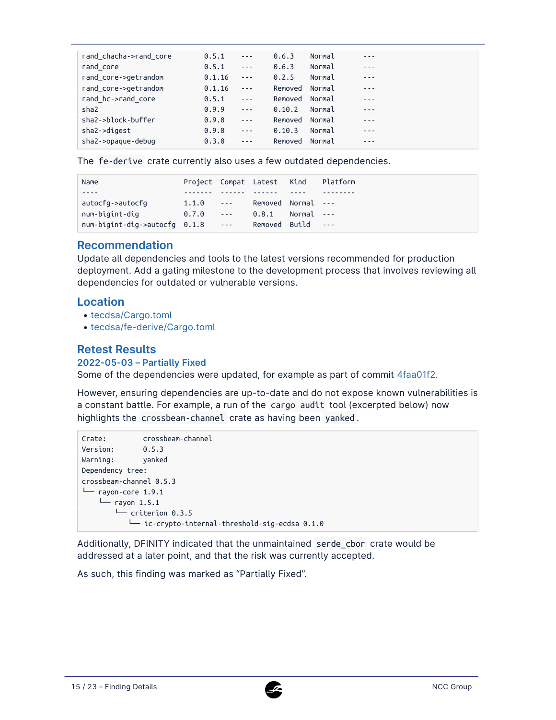| 0.5.1  | $\sim$ $\sim$ $\sim$                                                                                                                                                                                                                                                                                                                                                                         | 0.6.3   |        | ---     |
|--------|----------------------------------------------------------------------------------------------------------------------------------------------------------------------------------------------------------------------------------------------------------------------------------------------------------------------------------------------------------------------------------------------|---------|--------|---------|
| 0.5.1  | $\sim$ $\sim$ $\sim$                                                                                                                                                                                                                                                                                                                                                                         | 0.6.3   | Normal | ---     |
| 0.1.16 | $\sim$ $\sim$ $\sim$                                                                                                                                                                                                                                                                                                                                                                         | 0.2.5   | Normal | $- - -$ |
| 0.1.16 | $\sim$ $\sim$ $\sim$                                                                                                                                                                                                                                                                                                                                                                         | Removed | Normal | ---     |
| 0.5.1  | $\sim$ $ \sim$                                                                                                                                                                                                                                                                                                                                                                               | Removed | Normal | $- - -$ |
| 0.9.9  | $\sim$ $\sim$ $\sim$                                                                                                                                                                                                                                                                                                                                                                         | 0.10.2  | Normal | ---     |
| 0.9.0  | $\sim$ $\sim$ $\sim$                                                                                                                                                                                                                                                                                                                                                                         | Removed | Normal | $- - -$ |
| 0.9.0  | $\frac{1}{2} \frac{1}{2} \frac{1}{2} \frac{1}{2} \frac{1}{2} \frac{1}{2} \frac{1}{2} \frac{1}{2} \frac{1}{2} \frac{1}{2} \frac{1}{2} \frac{1}{2} \frac{1}{2} \frac{1}{2} \frac{1}{2} \frac{1}{2} \frac{1}{2} \frac{1}{2} \frac{1}{2} \frac{1}{2} \frac{1}{2} \frac{1}{2} \frac{1}{2} \frac{1}{2} \frac{1}{2} \frac{1}{2} \frac{1}{2} \frac{1}{2} \frac{1}{2} \frac{1}{2} \frac{1}{2} \frac{$ | 0.10.3  | Normal | - - -   |
| 0.3.0  | $- - -$                                                                                                                                                                                                                                                                                                                                                                                      | Removed | Normal | - - -   |
|        |                                                                                                                                                                                                                                                                                                                                                                                              |         |        | Normal  |

The fe-derive crate currently also uses a few outdated dependencies.

| Name                                                            |       |                   | Project Compat Latest Kind |                | Platform                   |
|-----------------------------------------------------------------|-------|-------------------|----------------------------|----------------|----------------------------|
|                                                                 |       |                   |                            |                |                            |
| autocfg->autocfg                                                | 1.1.0 | 200 April 200     | Removed Normal ---         |                |                            |
| num-bigint-dig                                                  | 0.7.0 | <b>Contractor</b> | 0.8.1                      | $Normal - - -$ |                            |
| $num\text{-}bigint\text{-}diq\text{-}zautocfq$ $0.1.8$ $\cdots$ |       |                   | Removed Build              |                | $\sim$ 100 $\pm$ 100 $\pm$ |

## **Recommendation**

Update all dependencies and tools to the latest versions recommended for production deployment. Add a gating milestone to the development process that involves reviewing all dependencies for outdated or vulnerable versions.

#### **Location**

- [tecdsa/Cargo.toml](https://github.com/dfinity/ic/blob/a18a6fa14041650e36444d959dc34ec9b23a23b6/rs/crypto/internal/crypto_lib/threshold_sig/tecdsa/Cargo.toml)
- [tecdsa/fe-derive/Cargo.toml](https://github.com/dfinity/ic/blob/a18a6fa14041650e36444d959dc34ec9b23a23b6/rs/crypto/internal/crypto_lib/threshold_sig/tecdsa/fe-derive/Cargo.toml)

## **Retest Results**

#### **2022-05-03 – Partially Fixed**

Some of the dependencies were updated, for example as part of commit [4faa01f2.](https://github.com/dfinity/ic/commit/4faa01f22eb10e9f9c3b87aa689a09ddc2d6c613)

However, ensuring dependencies are up-to-date and do not expose known vulnerabilities is a constant battle. For example, a run of the cargo audit tool (excerpted below) now highlights the crossbeam-channel crate as having been yanked .

```
Crate: crossbeam-channel
Version: 0.5.3
Warning: yanked
Dependency tree:
crossbeam-channel 0.5.3
\Box rayon-core 1.9.1
   \sqcup rayon 1.5.1
       └── criterion 0.3.5
           └── ic-crypto-internal-threshold-sig-ecdsa 0.1.0
```
Additionally, DFINITY indicated that the unmaintained serde\_cbor crate would be addressed at a later point, and that the risk was currently accepted.

As such, this finding was marked as "Partially Fixed".

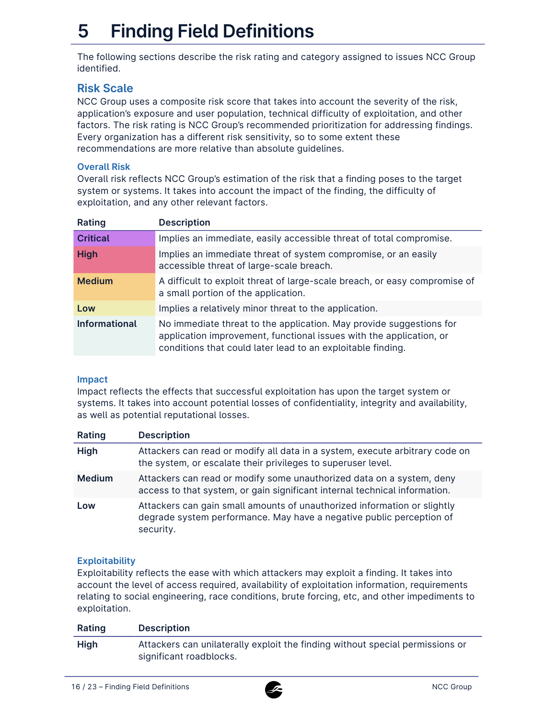# **5 Finding Field Definitions**

The following sections describe the risk rating and category assigned to issues NCC Group identified.

# **Risk Scale**

NCC Group uses a composite risk score that takes into account the severity of the risk, application's exposure and user population, technical difficulty of exploitation, and other factors. The risk rating is NCC Group's recommended prioritization for addressing findings. Every organization has a different risk sensitivity, so to some extent these recommendations are more relative than absolute guidelines.

#### **Overall Risk**

Overall risk reflects NCC Group's estimation of the risk that a finding poses to the target system or systems. It takes into account the impact of the finding, the difficulty of exploitation, and any other relevant factors.

| Rating               | <b>Description</b>                                                                                                                                                                                        |
|----------------------|-----------------------------------------------------------------------------------------------------------------------------------------------------------------------------------------------------------|
| <b>Critical</b>      | Implies an immediate, easily accessible threat of total compromise.                                                                                                                                       |
| <b>High</b>          | Implies an immediate threat of system compromise, or an easily<br>accessible threat of large-scale breach.                                                                                                |
| <b>Medium</b>        | A difficult to exploit threat of large-scale breach, or easy compromise of<br>a small portion of the application.                                                                                         |
| Low                  | Implies a relatively minor threat to the application.                                                                                                                                                     |
| <b>Informational</b> | No immediate threat to the application. May provide suggestions for<br>application improvement, functional issues with the application, or<br>conditions that could later lead to an exploitable finding. |

#### **Impact**

Impact reflects the effects that successful exploitation has upon the target system or systems. It takes into account potential losses of confidentiality, integrity and availability, as well as potential reputational losses.

| Rating        | <b>Description</b>                                                                                                                                            |
|---------------|---------------------------------------------------------------------------------------------------------------------------------------------------------------|
| <b>High</b>   | Attackers can read or modify all data in a system, execute arbitrary code on<br>the system, or escalate their privileges to superuser level.                  |
| <b>Medium</b> | Attackers can read or modify some unauthorized data on a system, deny<br>access to that system, or gain significant internal technical information.           |
| Low           | Attackers can gain small amounts of unauthorized information or slightly<br>degrade system performance. May have a negative public perception of<br>security. |

### **Exploitability**

Exploitability reflects the ease with which attackers may exploit a finding. It takes into account the level of access required, availability of exploitation information, requirements relating to social engineering, race conditions, brute forcing, etc, and other impediments to exploitation.

| Rating      | <b>Description</b>                                                                                       |
|-------------|----------------------------------------------------------------------------------------------------------|
| <b>High</b> | Attackers can unilaterally exploit the finding without special permissions or<br>significant roadblocks. |

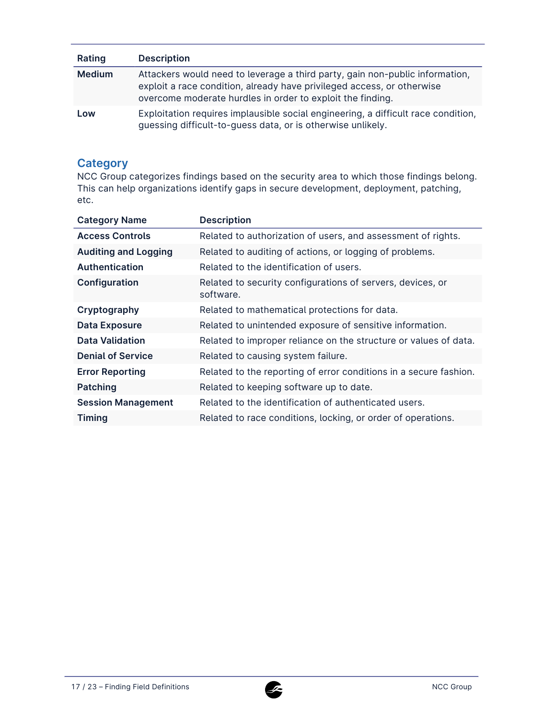| Rating        | <b>Description</b>                                                                                                                                                                                                   |
|---------------|----------------------------------------------------------------------------------------------------------------------------------------------------------------------------------------------------------------------|
| <b>Medium</b> | Attackers would need to leverage a third party, gain non-public information,<br>exploit a race condition, already have privileged access, or otherwise<br>overcome moderate hurdles in order to exploit the finding. |
| Low           | Exploitation requires implausible social engineering, a difficult race condition,<br>guessing difficult-to-guess data, or is otherwise unlikely.                                                                     |

# **Category**

NCC Group categorizes findings based on the security area to which those findings belong. This can help organizations identify gaps in secure development, deployment, patching, etc.

| <b>Category Name</b>        | <b>Description</b>                                                      |
|-----------------------------|-------------------------------------------------------------------------|
| <b>Access Controls</b>      | Related to authorization of users, and assessment of rights.            |
| <b>Auditing and Logging</b> | Related to auditing of actions, or logging of problems.                 |
| <b>Authentication</b>       | Related to the identification of users.                                 |
| Configuration               | Related to security configurations of servers, devices, or<br>software. |
| Cryptography                | Related to mathematical protections for data.                           |
| <b>Data Exposure</b>        | Related to unintended exposure of sensitive information.                |
| <b>Data Validation</b>      | Related to improper reliance on the structure or values of data.        |
| <b>Denial of Service</b>    | Related to causing system failure.                                      |
| <b>Error Reporting</b>      | Related to the reporting of error conditions in a secure fashion.       |
| Patching                    | Related to keeping software up to date.                                 |
| <b>Session Management</b>   | Related to the identification of authenticated users.                   |
| <b>Timing</b>               | Related to race conditions, locking, or order of operations.            |

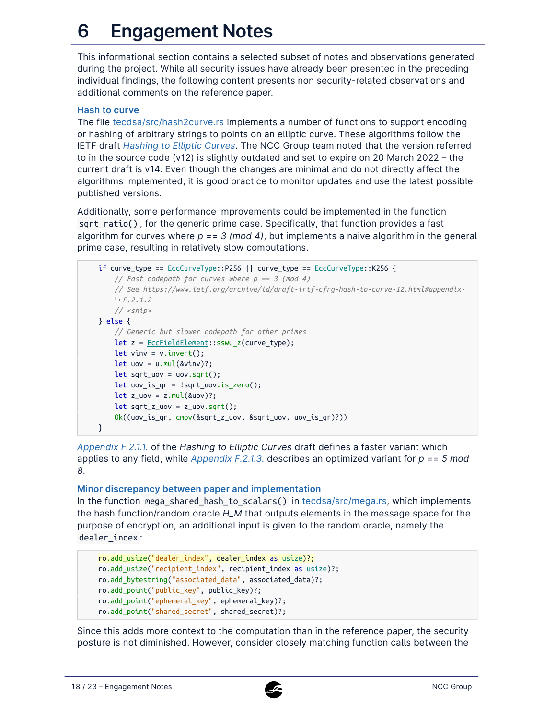# <span id="page-17-0"></span>**6 Engagement Notes**

This informational section contains a selected subset of notes and observations generated during the project. While all security issues have already been presented in the preceding individual findings, the following content presents non security-related observations and additional comments on the reference paper.

#### **Hash to curve**

The file [tecdsa/src/hash2curve.rs](https://github.com/dfinity/ic/blob/a18a6fa14041650e36444d959dc34ec9b23a23b6/rs/crypto/internal/crypto_lib/threshold_sig/tecdsa/src/hash2curve.rs) implements a number of functions to support encoding or hashing of arbitrary strings to points on an elliptic curve. These algorithms follow the IETF draft *[Hashing to Elliptic Curves](https://www.ietf.org/archive/id/draft-irtf-cfrg-hash-to-curve-14.html)*. The NCC Group team noted that the version referred to in the source code (v12) is slightly outdated and set to expire on 20 March 2022 – the current draft is v14. Even though the changes are minimal and do not directly affect the algorithms implemented, it is good practice to monitor updates and use the latest possible published versions.

Additionally, some performance improvements could be implemented in the function sqrt\_ratio() , for the generic prime case. Specifically, that function provides a fast algorithm for curves where *p == 3 (mod 4)*, but implements a naive algorithm in the general prime case, resulting in relatively slow computations.

```
if curve_type == EccCurveType::P256 || curve_type == EccCurveType::K256 {
   // Fast codepath for curves where p == 3 (mod 4)
    // See https://www.ietf.org/archive/id/draft-irtf-cfrg-hash-to-curve-12.html#appendix-
   F.2.1.2
   // <snip>
} else {
   // Generic but slower codepath for other primes
   let z = EccFieldElement::sswu_z(curve_type);
   let vinv = v.invert();
   let uov = u.mul(\&vinv)?;
   let sqrt uov = uov.sqrt();
   let uv_is_qr = !sqrt\_uov.is_zero();let z_uov = z.mul(&uov)?;
    let sqrt_z_uov = z_uov.sqrt();
    Ok((uov_is_qr, cmov(&sqrt_z_uov, &sqrt_uov, uov_is_qr)?))
}
```
*[Appendix F.2.1.1.](https://www.ietf.org/archive/id/draft-irtf-cfrg-hash-to-curve-14.html#appendix-F.2.1.1)* of the *Hashing to Elliptic Curves* draft defines a faster variant which applies to any field, while *[Appendix F.2.1.3.](https://www.ietf.org/archive/id/draft-irtf-cfrg-hash-to-curve-14.html#appendix-F.2.1.3)* describes an optimized variant for *p == 5 mod 8*.

#### **Minor discrepancy between paper and implementation**

In the function mega\_shared\_hash\_to\_scalars() in [tecdsa/src/mega.rs](https://github.com/dfinity/ic/blob/a18a6fa14041650e36444d959dc34ec9b23a23b6/rs/crypto/internal/crypto_lib/threshold_sig/tecdsa/src/mega.rs), which implements the hash function/random oracle *H\_M* that outputs elements in the message space for the purpose of encryption, an additional input is given to the random oracle, namely the dealer\_index :

```
ro.add_usize("dealer_index", dealer_index as usize)?;
ro.add_usize("recipient_index", recipient_index as usize)?;
ro.add_bytestring("associated_data", associated_data)?;
ro.add_point("public_key", public_key)?;
ro.add_point("ephemeral_key", ephemeral_key)?;
ro.add_point("shared_secret", shared_secret)?;
```
Since this adds more context to the computation than in the reference paper, the security posture is not diminished. However, consider closely matching function calls between the

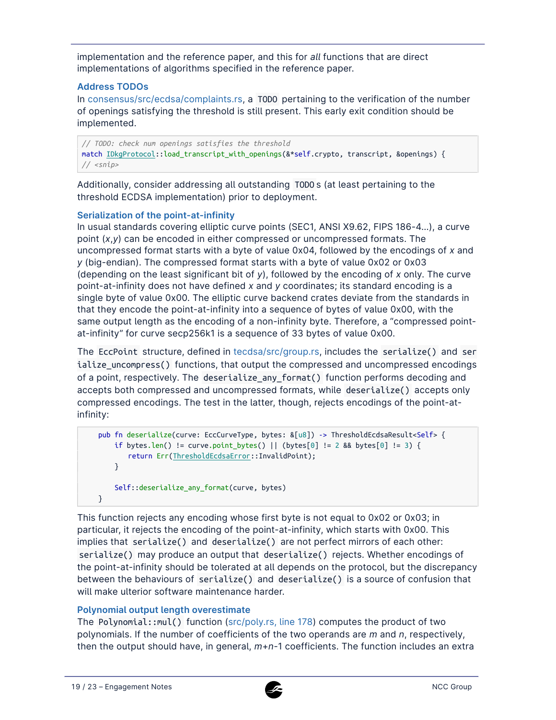implementation and the reference paper, and this for *all* functions that are direct implementations of algorithms specified in the reference paper.

#### **Address TODOs**

In [consensus/src/ecdsa/complaints.rs](https://github.com/dfinity/ic/blob/a18a6fa14041650e36444d959dc34ec9b23a23b6/rs/consensus/src/ecdsa/complaints.rs), a TODO pertaining to the verification of the number of openings satisfying the threshold is still present. This early exit condition should be implemented.

*// TODO: check num openings satisfies the threshold* match IDkgProtocol::load\_transcript\_with\_openings(&\*self.crypto, transcript, &openings) { *// <snip>*

Additionally, consider addressing all outstanding TODO s (at least pertaining to the threshold ECDSA implementation) prior to deployment.

#### **Serialization of the point-at-infinity**

In usual standards covering elliptic curve points (SEC1, ANSI X9.62, FIPS 186-4…), a curve point (*x*,*y*) can be encoded in either compressed or uncompressed formats. The uncompressed format starts with a byte of value 0x04, followed by the encodings of *x* and *y* (big-endian). The compressed format starts with a byte of value 0x02 or 0x03 (depending on the least significant bit of *y*), followed by the encoding of *x* only. The curve point-at-infinity does not have defined *x* and *y* coordinates; its standard encoding is a single byte of value 0x00. The elliptic curve backend crates deviate from the standards in that they encode the point-at-infinity into a sequence of bytes of value 0x00, with the same output length as the encoding of a non-infinity byte. Therefore, a "compressed pointat-infinity" for curve secp256k1 is a sequence of 33 bytes of value 0x00.

The EccPoint structure, defined in [tecdsa/src/group.rs,](https://github.com/dfinity/ic/blob/a18a6fa14041650e36444d959dc34ec9b23a23b6/rs/crypto/internal/crypto_lib/threshold_sig/tecdsa/src/group.rs) includes the serialize() and ser ialize\_uncompress() functions, that output the compressed and uncompressed encodings of a point, respectively. The deserialize\_any\_format() function performs decoding and accepts both compressed and uncompressed formats, while deserialize() accepts only compressed encodings. The test in the latter, though, rejects encodings of the point-atinfinity:

```
pub fn deserialize(curve: EccCurveType, bytes: &[u8]) -> ThresholdEcdsaResult<Self> {
    if bytes.len() != curve.point_bytes() || (bytes[0] != 2 && bytes[0] != 3) {
       return Err(ThresholdEcdsaError::InvalidPoint);
    }
    Self::deserialize_any_format(curve, bytes)
}
```
This function rejects any encoding whose first byte is not equal to 0x02 or 0x03; in particular, it rejects the encoding of the point-at-infinity, which starts with 0x00. This implies that serialize() and deserialize() are not perfect mirrors of each other: serialize() may produce an output that deserialize() rejects. Whether encodings of the point-at-infinity should be tolerated at all depends on the protocol, but the discrepancy between the behaviours of serialize() and deserialize() is a source of confusion that will make ulterior software maintenance harder.

#### **Polynomial output length overestimate**

The Polynomial::mul() function ([src/poly.rs, line 178\)](https://github.com/dfinity/ic/blob/a18a6fa14041650e36444d959dc34ec9b23a23b6/rs/crypto/internal/crypto_lib/threshold_sig/tecdsa/src/poly.rs#L178) computes the product of two polynomials. If the number of coefficients of the two operands are *m* and *n*, respectively, then the output should have, in general, *m*+*n*-1 coefficients. The function includes an extra

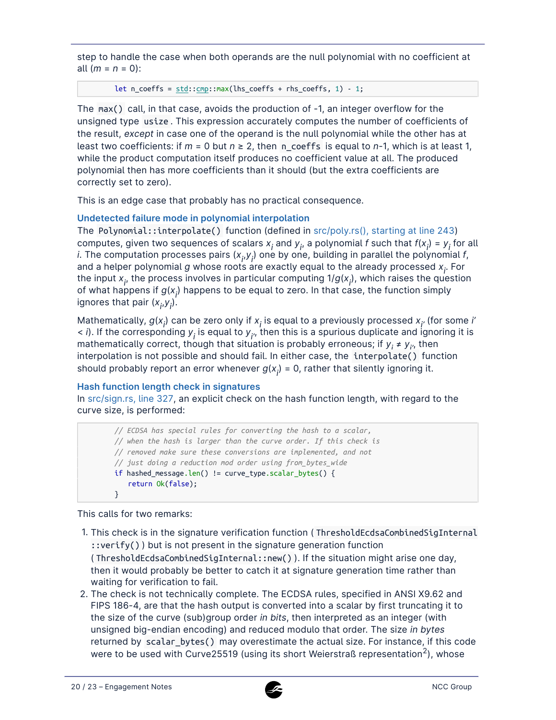step to handle the case when both operands are the null polynomial with no coefficient at all (*m* = *n* = 0):

```
let n_coeffs = std::cmp::max(lhs\_coeffs + rhs\_coeffs, 1) - 1;
```
The max() call, in that case, avoids the production of -1, an integer overflow for the unsigned type usize . This expression accurately computes the number of coefficients of the result, *except* in case one of the operand is the null polynomial while the other has at least two coefficients: if  $m = 0$  but  $n \ge 2$ , then n coeffs is equal to  $n-1$ , which is at least 1, while the product computation itself produces no coefficient value at all. The produced polynomial then has more coefficients than it should (but the extra coefficients are correctly set to zero).

This is an edge case that probably has no practical consequence.

## **Undetected failure mode in polynomial interpolation**

The Polynomial::interpolate() function (defined in [src/poly.rs\(\), starting at line 243\)](https://github.com/dfinity/ic/blob/a18a6fa14041650e36444d959dc34ec9b23a23b6/rs/crypto/internal/crypto_lib/threshold_sig/tecdsa/src/poly.rs#L243) computes, given two sequences of scalars  $x_i$  and  $y_i$ , a polynomial *f* such that  $f(x_i) = y_i$  for all *i*. The computation processes pairs  $(x_{i},y_{i})$  one by one, building in parallel the polynomial  $f$ , and a helper polynomial *g* whose roots are exactly equal to the already processed *xi* . For the input  $x_i$ , the process involves in particular computing  $1/g(x_i)$ , which raises the question of what happens if  $g(x_j)$  happens to be equal to zero. In that case, the function simply ignores that pair (*x<sub>i</sub>,y<sub>i</sub>*).

Mathematically,  $g(x_j)$  can be zero only if  $x_j$  is equal to a previously processed  $x_{j'}$  (for some *i*' <sup>&</sup>lt;*i*). If the corresponding *yi* is equal to *yi'*, then this is a spurious duplicate and ignoring it is mathematically correct, though that situation is probably erroneous; if  $y_i \neq y_{i'}$ , then interpolation is not possible and should fail. In either case, the interpolate() function should probably report an error whenever  $g(x_{\vec{i}})$  = 0, rather that silently ignoring it.

### **Hash function length check in signatures**

In [src/sign.rs, line 327](https://github.com/dfinity/ic/blob/a18a6fa14041650e36444d959dc34ec9b23a23b6/rs/crypto/internal/crypto_lib/threshold_sig/tecdsa/src/sign.rs#L327), an explicit check on the hash function length, with regard to the curve size, is performed:

```
// ECDSA has special rules for converting the hash to a scalar,
// when the hash is larger than the curve order. If this check is
// removed make sure these conversions are implemented, and not
// just doing a reduction mod order using from_bytes_wide
if hashed_message.len() != curve_type.scalar_bytes() {
   return Ok(false);
}
```
This calls for two remarks:

- 1. This check is in the signature verification function (ThresholdEcdsaCombinedSigInternal ::verify() ) but is not present in the signature generation function ( ThresholdEcdsaCombinedSigInternal::new() ). If the situation might arise one day, then it would probably be better to catch it at signature generation time rather than waiting for verification to fail.
- 2. The check is not technically complete. The ECDSA rules, specified in ANSI X9.62 and FIPS 186-4, are that the hash output is converted into a scalar by first truncating it to the size of the curve (sub)group order *in bits*, then interpreted as an integer (with unsigned big-endian encoding) and reduced modulo that order. The size *in bytes* returned by scalar\_bytes() may overestimate the actual size. For instance, if this code were to be used with Curve25519 (using its short Weierstraß representation<sup>2</sup>), whose

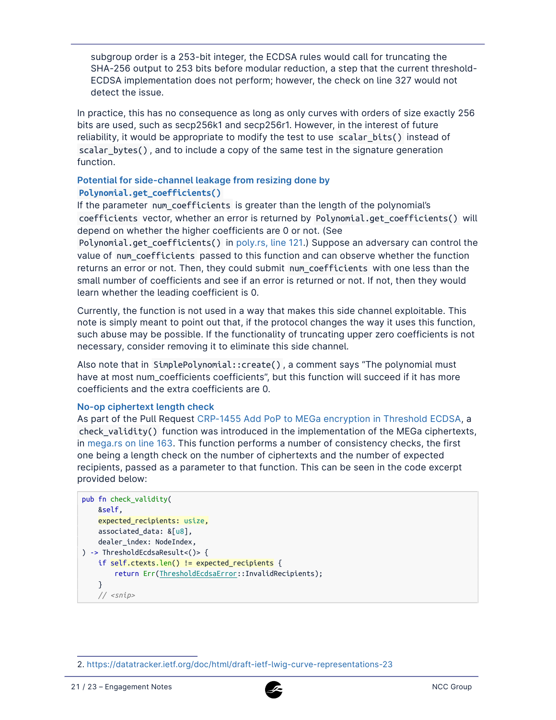subgroup order is a 253-bit integer, the ECDSA rules would call for truncating the SHA-256 output to 253 bits before modular reduction, a step that the current threshold-ECDSA implementation does not perform; however, the check on line 327 would not detect the issue.

In practice, this has no consequence as long as only curves with orders of size exactly 256 bits are used, such as secp256k1 and secp256r1. However, in the interest of future reliability, it would be appropriate to modify the test to use scalar\_bits() instead of scalar\_bytes() , and to include a copy of the same test in the signature generation function.

#### **Potential for side-channel leakage from resizing done by Polynomial.get\_coefficients()**

If the parameter num coefficients is greater than the length of the polynomial's coefficients vector, whether an error is returned by Polynomial.get\_coefficients() will depend on whether the higher coefficients are 0 or not. (See

Polynomial.get\_coefficients() in [poly.rs, line 121.](https://github.com/dfinity/ic/blob/a18a6fa14041650e36444d959dc34ec9b23a23b6/rs/crypto/internal/crypto_lib/threshold_sig/tecdsa/src/poly.rs#L121)) Suppose an adversary can control the value of num\_coefficients passed to this function and can observe whether the function returns an error or not. Then, they could submit num coefficients with one less than the small number of coefficients and see if an error is returned or not. If not, then they would learn whether the leading coefficient is 0.

Currently, the function is not used in a way that makes this side channel exploitable. This note is simply meant to point out that, if the protocol changes the way it uses this function, such abuse may be possible. If the functionality of truncating upper zero coefficients is not necessary, consider removing it to eliminate this side channel.

Also note that in SimplePolynomial::create() , a comment says "The polynomial must have at most num\_coefficients coefficients", but this function will succeed if it has more coefficients and the extra coefficients are 0.

#### **No-op ciphertext length check**

As part of the Pull Request [CRP-1455 Add PoP to MEGa encryption in Threshold ECDSA,](https://github.com/dfinity/ic/commit/d8605feca47e53e6ca1acd315d378a9db6888eed) a check validity() function was introduced in the implementation of the MEGa ciphertexts, in [mega.rs on line 163](https://github.com/dfinity/ic/commit/d8605feca47e53e6ca1acd315d378a9db6888eed#diff-23fb1648a0d1def931483dee215db134a5f18c8bbcc5a8f478e91ce3afa7b066R163). This function performs a number of consistency checks, the first one being a length check on the number of ciphertexts and the number of expected recipients, passed as a parameter to that function. This can be seen in the code excerpt provided below:

```
pub fn check_validity(
    &self,
    expected_recipients: usize,
    associated_data: &[u8],
    dealer_index: NodeIndex,
) -> ThresholdEcdsaResult<()> {
    if self.ctexts.len() != expected_recipients {
        return Err(ThresholdEcdsaError::InvalidRecipients);
    }
    // <snip>
```


<sup>2.</sup> <https://datatracker.ietf.org/doc/html/draft-ietf-lwig-curve-representations-23>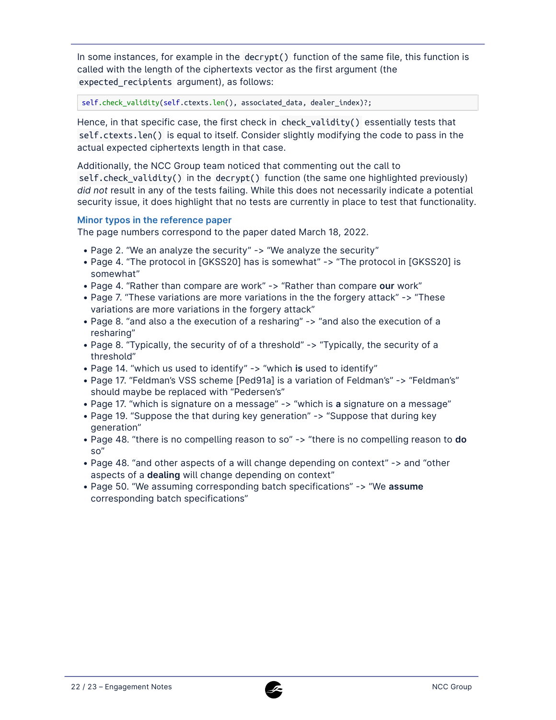In some instances, for example in the decrypt() function of the same file, this function is called with the length of the ciphertexts vector as the first argument (the expected\_recipients argument), as follows:

self.check validity(self.ctexts.len(), associated data, dealer index)?;

Hence, in that specific case, the first check in check\_validity() essentially tests that self.ctexts.len() is equal to itself. Consider slightly modifying the code to pass in the actual expected ciphertexts length in that case.

Additionally, the NCC Group team noticed that commenting out the call to self.check\_validity() in the decrypt() function (the same one highlighted previously) *did not* result in any of the tests failing. While this does not necessarily indicate a potential security issue, it does highlight that no tests are currently in place to test that functionality.

#### **Minor typos in the reference paper**

The page numbers correspond to the paper dated March 18, 2022.

- Page 2. "We an analyze the security" -> "We analyze the security"
- Page 4. "The protocol in [GKSS20] has is somewhat" -> "The protocol in [GKSS20] is somewhat"
- Page 4. "Rather than compare are work" -> "Rather than compare our work"
- Page 7. "These variations are more variations in the the forgery attack" -> "These variations are more variations in the forgery attack"
- Page 8. "and also a the execution of a resharing" -> "and also the execution of a resharing"
- Page 8. "Typically, the security of of a threshold" -> "Typically, the security of a threshold"
- Page 14. "which us used to identify" -> "which is used to identify"
- Page 17. "Feldman's VSS scheme [Ped91a] is a variation of Feldman's" -> "Feldman's" should maybe be replaced with "Pedersen's"
- Page 17. "which is signature on a message" -> "which is **a** signature on a message" •
- Page 19. "Suppose the that during key generation" -> "Suppose that during key generation"
- Page 48. "there is no compelling reason to so" -> "there is no compelling reason to do so"
- Page 48. "and other aspects of a will change depending on context" -> and "other aspects of a **dealing** will change depending on context"
- Page 50. "We assuming corresponding batch specifications" -> "We **assume** corresponding batch specifications"